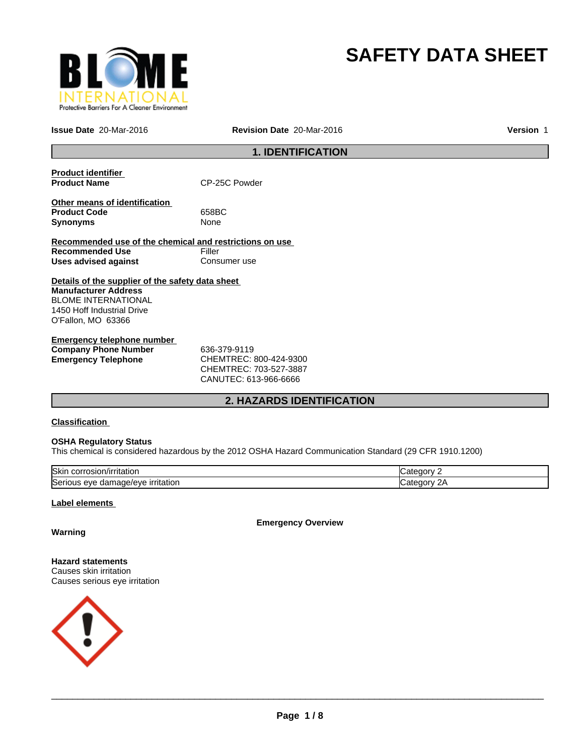

# **SAFETY DATA SHEET**

**Issue Date** 20-Mar-2016 **Revision Date** 20-Mar-2016

**Version** 1

# **1. IDENTIFICATION**

| <b>Product identifier</b><br><b>Product Name</b>                                                                                                           | CP-25C Powder |
|------------------------------------------------------------------------------------------------------------------------------------------------------------|---------------|
| Other means of identification<br><b>Product Code</b><br>Synonyms                                                                                           | 658BC<br>None |
| Recommended use of the chemical and restrictions on use                                                                                                    |               |
| <b>Recommended Use</b>                                                                                                                                     | Filler        |
| Uses advised against                                                                                                                                       | Consumer use  |
| Details of the supplier of the safety data sheet<br><b>Manufacturer Address</b><br>BLOME INTERNATIONAL<br>1450 Hoff Industrial Drive<br>O'Fallon, MO 63366 |               |
| Emergency telephone number                                                                                                                                 |               |
| <b>Company Phone Number</b>                                                                                                                                | 636-379-9119  |

**Emergency Telephone** CHEMTREC: 800-424-9300 CHEMTREC: 703-527-3887 CANUTEC: 613-966-6666

# **2. HAZARDS IDENTIFICATION**

# **Classification**

# **OSHA Regulatory Status**

This chemical is considered hazardous by the 2012 OSHA Hazard Communication Standard (29 CFR 1910.1200)

| lSkir<br>√irritatior<br>.                                                         | זר זר                                   |
|-----------------------------------------------------------------------------------|-----------------------------------------|
| $10001 + 4$<br><sup>-</sup> ritation<br>iae/eve<br>Serious<br>. eve<br>aamaq<br>ຼ | חרזר<br>$\overline{\phantom{a}}$<br>. . |

# **Label elements**

**Emergency Overview**

# **Warning**

**Hazard statements** Causes skin irritation Causes serious eye irritation

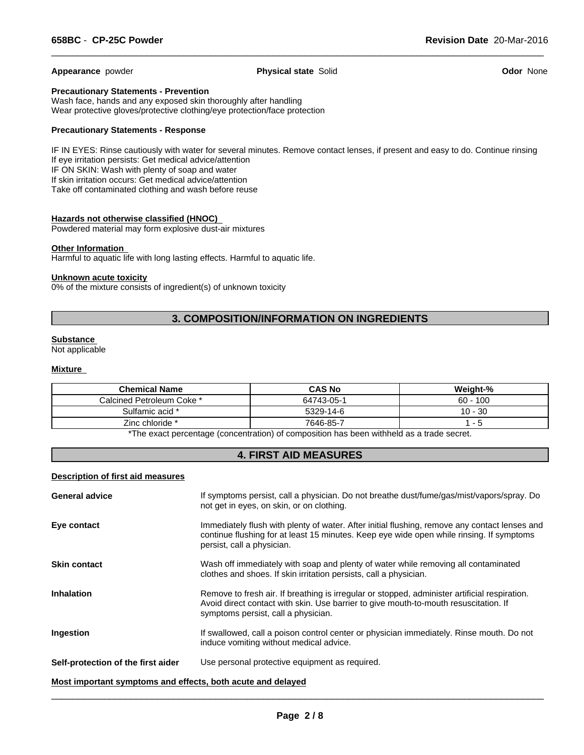**Appearance** powder **Physical state** Solid **Odor** None

 $\overline{\phantom{a}}$  ,  $\overline{\phantom{a}}$  ,  $\overline{\phantom{a}}$  ,  $\overline{\phantom{a}}$  ,  $\overline{\phantom{a}}$  ,  $\overline{\phantom{a}}$  ,  $\overline{\phantom{a}}$  ,  $\overline{\phantom{a}}$  ,  $\overline{\phantom{a}}$  ,  $\overline{\phantom{a}}$  ,  $\overline{\phantom{a}}$  ,  $\overline{\phantom{a}}$  ,  $\overline{\phantom{a}}$  ,  $\overline{\phantom{a}}$  ,  $\overline{\phantom{a}}$  ,  $\overline{\phantom{a}}$ 

# **Precautionary Statements - Prevention**

Wash face, hands and any exposed skin thoroughly after handling Wear protective gloves/protective clothing/eye protection/face protection

### **Precautionary Statements - Response**

IF IN EYES: Rinse cautiously with water for several minutes. Remove contact lenses, if present and easy to do. Continue rinsing If eye irritation persists: Get medical advice/attention IF ON SKIN: Wash with plenty of soap and water If skin irritation occurs: Get medical advice/attention Take off contaminated clothing and wash before reuse

# **Hazards not otherwise classified (HNOC)**

Powdered material may form explosive dust-air mixtures

#### **Other Information**

Harmful to aquatic life with long lasting effects. Harmful to aquatic life.

#### **Unknown acute toxicity**

0% of the mixture consists of ingredient(s) of unknown toxicity

# **3. COMPOSITION/INFORMATION ON INGREDIENTS**

# **Substance**

Not applicable

#### **Mixture**

| <b>Chemical Name</b>      | <b>CAS No</b> | Weight-%   |
|---------------------------|---------------|------------|
| Calcined Petroleum Coke * | 64743-05-1    | $60 - 100$ |
| Sulfamic acid *           | 5329-14-6     | $10 - 30$  |
| Zinc chloride *           | 7646-85-7     | . - ಒ      |

\*The exact percentage (concentration) of composition has been withheld as a trade secret.

# **4. FIRST AID MEASURES**

#### **Description of first aid measures**

| <b>General advice</b>                                       | If symptoms persist, call a physician. Do not breathe dust/fume/gas/mist/vapors/spray. Do<br>not get in eyes, on skin, or on clothing.                                                                                       |  |  |  |
|-------------------------------------------------------------|------------------------------------------------------------------------------------------------------------------------------------------------------------------------------------------------------------------------------|--|--|--|
| Eye contact                                                 | Immediately flush with plenty of water. After initial flushing, remove any contact lenses and<br>continue flushing for at least 15 minutes. Keep eye wide open while rinsing. If symptoms<br>persist, call a physician.      |  |  |  |
| <b>Skin contact</b>                                         | Wash off immediately with soap and plenty of water while removing all contaminated<br>clothes and shoes. If skin irritation persists, call a physician.                                                                      |  |  |  |
| <b>Inhalation</b>                                           | Remove to fresh air. If breathing is irregular or stopped, administer artificial respiration.<br>Avoid direct contact with skin. Use barrier to give mouth-to-mouth resuscitation. If<br>symptoms persist, call a physician. |  |  |  |
| Ingestion                                                   | If swallowed, call a poison control center or physician immediately. Rinse mouth. Do not<br>induce vomiting without medical advice.                                                                                          |  |  |  |
| Self-protection of the first aider                          | Use personal protective equipment as required.                                                                                                                                                                               |  |  |  |
| Most important symptoms and effects, both acute and delayed |                                                                                                                                                                                                                              |  |  |  |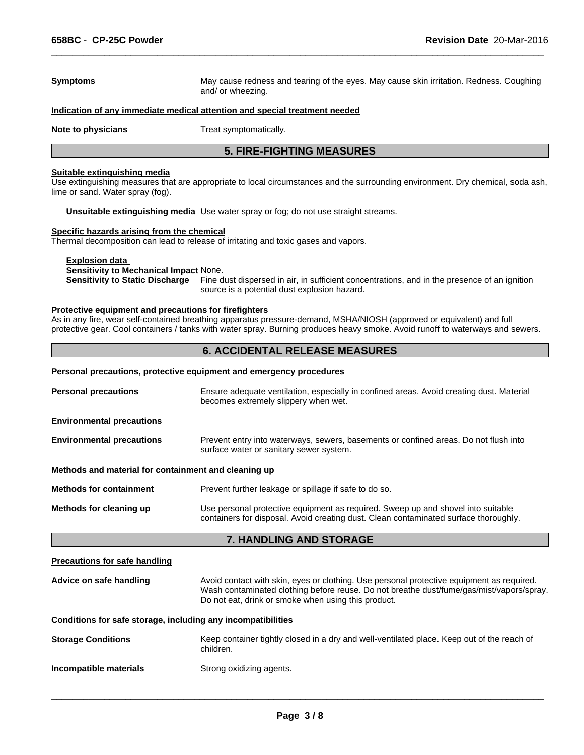# **Symptoms** May cause redness and tearing of the eyes. May cause skin irritation. Redness. Coughing and/ or wheezing. **Indication of any immediate medical attention and special treatment needed Note to physicians** Treat symptomatically. **5. FIRE-FIGHTING MEASURES**

# **Suitable extinguishing media**

Use extinguishing measures that are appropriate to local circumstances and the surrounding environment. Dry chemical, soda ash, lime or sand. Water spray (fog).

**Unsuitable extinguishing media** Use water spray or fog; do not use straight streams.

# **Specific hazards arising from the chemical**

Thermal decomposition can lead to release of irritating and toxic gases and vapors.

**Explosion data** 

**Sensitivity to Mechanical Impact** None.

**Sensitivity to Static Discharge** Fine dust dispersed in air, in sufficient concentrations, and in the presence of an ignition source is a potential dust explosion hazard.

 $\overline{\phantom{a}}$  ,  $\overline{\phantom{a}}$  ,  $\overline{\phantom{a}}$  ,  $\overline{\phantom{a}}$  ,  $\overline{\phantom{a}}$  ,  $\overline{\phantom{a}}$  ,  $\overline{\phantom{a}}$  ,  $\overline{\phantom{a}}$  ,  $\overline{\phantom{a}}$  ,  $\overline{\phantom{a}}$  ,  $\overline{\phantom{a}}$  ,  $\overline{\phantom{a}}$  ,  $\overline{\phantom{a}}$  ,  $\overline{\phantom{a}}$  ,  $\overline{\phantom{a}}$  ,  $\overline{\phantom{a}}$ 

## **Protective equipment and precautions for firefighters**

As in any fire, wear self-contained breathing apparatus pressure-demand, MSHA/NIOSH (approved or equivalent) and full protective gear. Cool containers / tanks with water spray. Burning produces heavy smoke. Avoid runoff to waterways and sewers.

# **6. ACCIDENTAL RELEASE MEASURES**

|                                                                                                                                                                 | Personal precautions, protective equipment and emergency procedures                                                                                                      |  |  |
|-----------------------------------------------------------------------------------------------------------------------------------------------------------------|--------------------------------------------------------------------------------------------------------------------------------------------------------------------------|--|--|
| <b>Personal precautions</b><br>Ensure adequate ventilation, especially in confined areas. Avoid creating dust. Material<br>becomes extremely slippery when wet. |                                                                                                                                                                          |  |  |
| <b>Environmental precautions</b>                                                                                                                                |                                                                                                                                                                          |  |  |
| <b>Environmental precautions</b>                                                                                                                                | Prevent entry into waterways, sewers, basements or confined areas. Do not flush into<br>surface water or sanitary sewer system.                                          |  |  |
| Methods and material for containment and cleaning up                                                                                                            |                                                                                                                                                                          |  |  |
| <b>Methods for containment</b>                                                                                                                                  | Prevent further leakage or spillage if safe to do so.                                                                                                                    |  |  |
| Methods for cleaning up                                                                                                                                         | Use personal protective equipment as required. Sweep up and shovel into suitable<br>containers for disposal. Avoid creating dust. Clean contaminated surface thoroughly. |  |  |
|                                                                                                                                                                 | <b>7. HANDLING AND STORAGE</b>                                                                                                                                           |  |  |

| Precautions for safe handling |
|-------------------------------|
|-------------------------------|

| Advice on safe handling | Avoid contact with skin, eyes or clothing. Use personal protective equipment as required.<br>Wash contaminated clothing before reuse. Do not breathe dust/fume/gas/mist/vapors/spray. |
|-------------------------|---------------------------------------------------------------------------------------------------------------------------------------------------------------------------------------|
|                         | Do not eat, drink or smoke when using this product.                                                                                                                                   |

# **Conditions for safe storage, including any incompatibilities**

| <b>Storage Conditions</b> | Keep container tightly closed in a dry and well-ventilated place. Keep out of the reach of<br>children. |
|---------------------------|---------------------------------------------------------------------------------------------------------|
|                           |                                                                                                         |

**Incompatible materials** Strong oxidizing agents.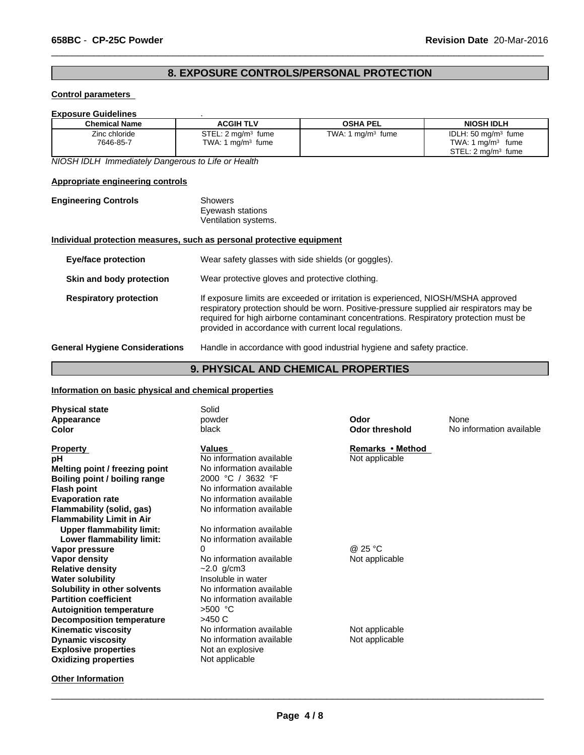# **8. EXPOSURE CONTROLS/PERSONAL PROTECTION**

 $\overline{\phantom{a}}$  ,  $\overline{\phantom{a}}$  ,  $\overline{\phantom{a}}$  ,  $\overline{\phantom{a}}$  ,  $\overline{\phantom{a}}$  ,  $\overline{\phantom{a}}$  ,  $\overline{\phantom{a}}$  ,  $\overline{\phantom{a}}$  ,  $\overline{\phantom{a}}$  ,  $\overline{\phantom{a}}$  ,  $\overline{\phantom{a}}$  ,  $\overline{\phantom{a}}$  ,  $\overline{\phantom{a}}$  ,  $\overline{\phantom{a}}$  ,  $\overline{\phantom{a}}$  ,  $\overline{\phantom{a}}$ 

# **Control parameters**

# **Exposure Guidelines** .

| <b>Chemical Name</b>       | <b>ACGIH TLV</b>                                      | <b>OSHA PEL</b>     | <b>NIOSH IDLH</b>                                                                                                |
|----------------------------|-------------------------------------------------------|---------------------|------------------------------------------------------------------------------------------------------------------|
| Zinc chloride<br>7646-85-7 | STEL: 2 mg/m <sup>3</sup> fume<br>TWA: 1 $mq/m3$ fume | TWA: 1 $mq/m3$ fume | IDLH: $50 \text{ mg/m}^3$ fume<br><b>TWA: 1</b><br>$\mid$ ma/m $^3$<br>fume<br>STEL: 2 ma/m <sup>3</sup><br>fume |

*NIOSH IDLH Immediately Dangerous to Life or Health*

# **Appropriate engineering controls**

| <b>Engineering Controls</b> | Showers              |  |
|-----------------------------|----------------------|--|
|                             | Eyewash stations     |  |
|                             | Ventilation systems. |  |

# **Individual protection measures, such as personal protective equipment**

| <b>Eye/face protection</b>            | Wear safety glasses with side shields (or goggles).                                                                                                                                                                                                                                                                              |  |
|---------------------------------------|----------------------------------------------------------------------------------------------------------------------------------------------------------------------------------------------------------------------------------------------------------------------------------------------------------------------------------|--|
| Skin and body protection              | Wear protective gloves and protective clothing.                                                                                                                                                                                                                                                                                  |  |
| <b>Respiratory protection</b>         | If exposure limits are exceeded or irritation is experienced, NIOSH/MSHA approved<br>respiratory protection should be worn. Positive-pressure supplied air respirators may be<br>required for high airborne contaminant concentrations. Respiratory protection must be<br>provided in accordance with current local regulations. |  |
| <b>General Hygiene Considerations</b> | Handle in accordance with good industrial hygiene and safety practice.                                                                                                                                                                                                                                                           |  |

# **9. PHYSICAL AND CHEMICAL PROPERTIES**

### **Information on basic physical and chemical properties**

| <b>Physical state</b><br>Appearance<br>Color | Solid<br>powder<br>black | Odor<br><b>Odor threshold</b> | None<br>No information available |
|----------------------------------------------|--------------------------|-------------------------------|----------------------------------|
| <b>Property</b>                              | <b>Values</b>            | Remarks • Method              |                                  |
| рH                                           | No information available | Not applicable                |                                  |
| Melting point / freezing point               | No information available |                               |                                  |
| Boiling point / boiling range                | 2000 °C / 3632 °F        |                               |                                  |
| <b>Flash point</b>                           | No information available |                               |                                  |
| <b>Evaporation rate</b>                      | No information available |                               |                                  |
| Flammability (solid, gas)                    | No information available |                               |                                  |
| <b>Flammability Limit in Air</b>             |                          |                               |                                  |
| <b>Upper flammability limit:</b>             | No information available |                               |                                  |
| Lower flammability limit:                    | No information available |                               |                                  |
| Vapor pressure                               |                          | @ 25 °C                       |                                  |
| Vapor density                                | No information available | Not applicable                |                                  |
| <b>Relative density</b>                      | $~2.0$ g/cm3             |                               |                                  |
| <b>Water solubility</b>                      | Insoluble in water       |                               |                                  |
| Solubility in other solvents                 | No information available |                               |                                  |
| <b>Partition coefficient</b>                 | No information available |                               |                                  |
| <b>Autoignition temperature</b>              | $>500$ °C                |                               |                                  |
| Decomposition temperature                    | >450 C                   |                               |                                  |
| <b>Kinematic viscosity</b>                   | No information available | Not applicable                |                                  |
| <b>Dynamic viscosity</b>                     | No information available | Not applicable                |                                  |
| <b>Explosive properties</b>                  | Not an explosive         |                               |                                  |
| <b>Oxidizing properties</b>                  | Not applicable           |                               |                                  |
| <b>Other Information</b>                     |                          |                               |                                  |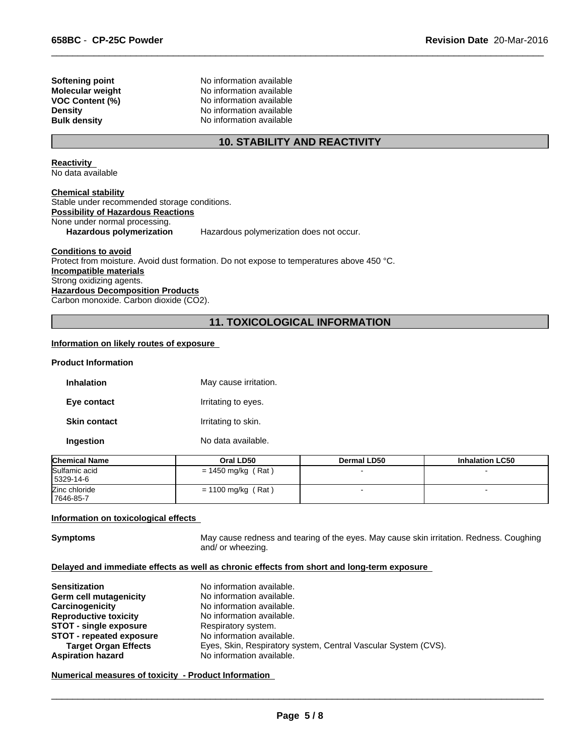**Softening point** No information available **Molecular weight** No information available **VOC Content (%)** No information available **Density** No information available **Bulk density** No information available

# **10. STABILITY AND REACTIVITY**

 $\overline{\phantom{a}}$  ,  $\overline{\phantom{a}}$  ,  $\overline{\phantom{a}}$  ,  $\overline{\phantom{a}}$  ,  $\overline{\phantom{a}}$  ,  $\overline{\phantom{a}}$  ,  $\overline{\phantom{a}}$  ,  $\overline{\phantom{a}}$  ,  $\overline{\phantom{a}}$  ,  $\overline{\phantom{a}}$  ,  $\overline{\phantom{a}}$  ,  $\overline{\phantom{a}}$  ,  $\overline{\phantom{a}}$  ,  $\overline{\phantom{a}}$  ,  $\overline{\phantom{a}}$  ,  $\overline{\phantom{a}}$ 

**Reactivity**  No data available

**Chemical stability** Stable under recommended storage conditions. **Possibility of Hazardous Reactions** None under normal processing. Hazardous polymerization Hazardous polymerization does not occur.

**Conditions to avoid**

Protect from moisture. Avoid dust formation. Do not expose to temperatures above 450 °C. **Incompatible materials** Strong oxidizing agents. **Hazardous Decomposition Products** Carbon monoxide. Carbon dioxide (CO2).

# **11. TOXICOLOGICAL INFORMATION**

# **Information on likely routes of exposure**

#### **Product Information**

| <b>Inhalation</b>   | May cause irritation. |
|---------------------|-----------------------|
| Eye contact         | Irritating to eyes.   |
| <b>Skin contact</b> | Irritating to skin.   |
| Ingestion           | No data available.    |

| <b>Chemical Name</b>       | Oral LD50            | Dermal LD50 | <b>Inhalation LC50</b> |
|----------------------------|----------------------|-------------|------------------------|
| Sulfamic acid<br>5329-14-6 | $= 1450$ mg/kg (Rat) |             |                        |
| Zinc chloride<br>7646-85-7 | $= 1100$ mg/kg (Rat) |             |                        |

#### **Information on toxicological effects**

**Symptoms** May cause redness and tearing of the eyes. May cause skin irritation. Redness. Coughing and/ or wheezing.

# **Delayed and immediate effects as well as chronic effects from short and long-term exposure**

| <b>Sensitization</b>            | No information available.                                      |
|---------------------------------|----------------------------------------------------------------|
| <b>Germ cell mutagenicity</b>   | No information available.                                      |
| Carcinogenicity                 | No information available.                                      |
| <b>Reproductive toxicity</b>    | No information available.                                      |
| <b>STOT - single exposure</b>   | Respiratory system.                                            |
| <b>STOT</b> - repeated exposure | No information available.                                      |
| <b>Target Organ Effects</b>     | Eyes, Skin, Respiratory system, Central Vascular System (CVS). |
| <b>Aspiration hazard</b>        | No information available.                                      |

**Numerical measures of toxicity - Product Information**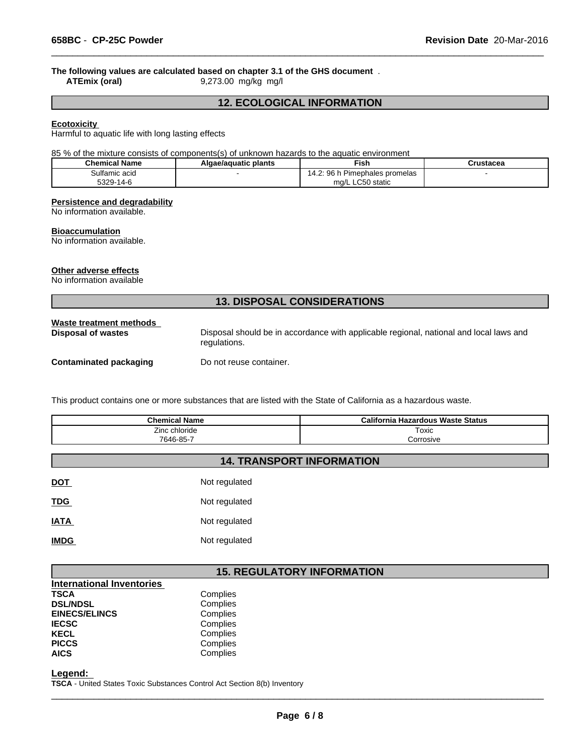# **The following values are calculated based on chapter 3.1 of the GHS document**.<br>ATEmix (oral) 9,273.00 mg/kg mg/l

**ATEmix (oral)** 9,273.00 mg/kg mg/l

# **12. ECOLOGICAL INFORMATION**

 $\overline{\phantom{a}}$  ,  $\overline{\phantom{a}}$  ,  $\overline{\phantom{a}}$  ,  $\overline{\phantom{a}}$  ,  $\overline{\phantom{a}}$  ,  $\overline{\phantom{a}}$  ,  $\overline{\phantom{a}}$  ,  $\overline{\phantom{a}}$  ,  $\overline{\phantom{a}}$  ,  $\overline{\phantom{a}}$  ,  $\overline{\phantom{a}}$  ,  $\overline{\phantom{a}}$  ,  $\overline{\phantom{a}}$  ,  $\overline{\phantom{a}}$  ,  $\overline{\phantom{a}}$  ,  $\overline{\phantom{a}}$ 

## **Ecotoxicity**

Harmful to aquatic life with long lasting effects

85 % of the mixture consists of components(s) of unknown hazards to the aquatic environment

| <b>Chemical Name</b> | Algae/aguatic plants | <b>Fish</b>                                   | Crustacea |
|----------------------|----------------------|-----------------------------------------------|-----------|
| Sulfamic acid        |                      | 96<br>Pimephales promelas<br>ıд               |           |
| 5329-1<br>$14 - F$   |                      | $\sim$ $\sim$ $\sim$<br>) static<br>ma/L<br>. |           |

# **Persistence and degradability**

No information available.

#### **Bioaccumulation**

No information available.

#### **Other adverse effects**

No information available

# **13. DISPOSAL CONSIDERATIONS**

| Waste treatment methods       | Disposal should be in accordance with applicable regional, national and local laws and |
|-------------------------------|----------------------------------------------------------------------------------------|
| <b>Disposal of wastes</b>     | regulations.                                                                           |
| <b>Contaminated packaging</b> | Do not reuse container.                                                                |

This product contains one or more substances that are listed with the State of California as a hazardous waste.

| <b>Chemical Name</b> | California Hazardous Waste Status |
|----------------------|-----------------------------------|
| Zinc chloride        | Toxic                             |
| 7646-85-7            | orrosive;                         |

# **14. TRANSPORT INFORMATION**

| <b>DOT</b>  | Not regulated |
|-------------|---------------|
| <b>TDG</b>  | Not regulated |
| <b>IATA</b> | Not regulated |
| <b>IMDG</b> | Not regulated |

# **15. REGULATORY INFORMATION**

| Complies |  |
|----------|--|
| Complies |  |
| Complies |  |
| Complies |  |
| Complies |  |
| Complies |  |
| Complies |  |
|          |  |

**Legend:** 

**TSCA** - United States Toxic Substances Control Act Section 8(b) Inventory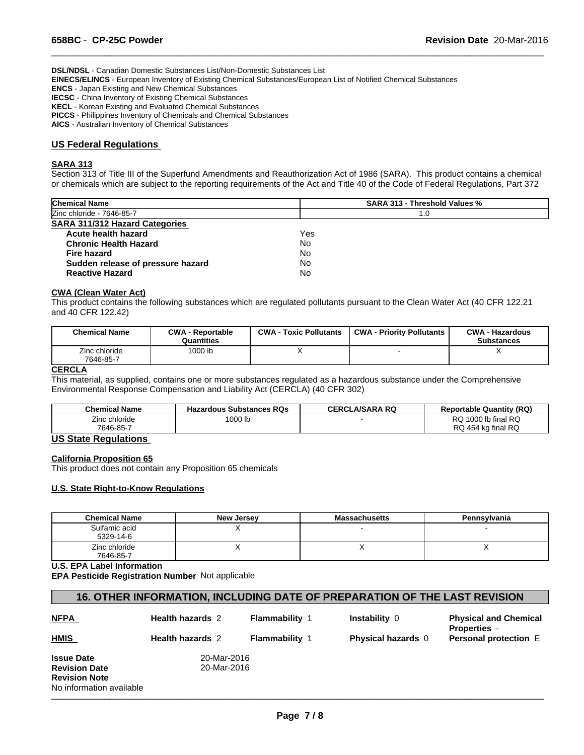**DSL/NDSL** - Canadian Domestic Substances List/Non-Domestic Substances List

**EINECS/ELINCS** - European Inventory of Existing Chemical Substances/European List of Notified Chemical Substances

**ENCS** - Japan Existing and New Chemical Substances

**IECSC** - China Inventory of Existing Chemical Substances

**KECL** - Korean Existing and Evaluated Chemical Substances

**PICCS** - Philippines Inventory of Chemicals and Chemical Substances

**AICS** - Australian Inventory of Chemical Substances

# **US Federal Regulations**

# **SARA 313**

Section 313 of Title III of the Superfund Amendments and Reauthorization Act of 1986 (SARA). This product contains a chemical or chemicals which are subject to the reporting requirements of the Act and Title 40 of the Code of Federal Regulations, Part 372

 $\overline{\phantom{a}}$  ,  $\overline{\phantom{a}}$  ,  $\overline{\phantom{a}}$  ,  $\overline{\phantom{a}}$  ,  $\overline{\phantom{a}}$  ,  $\overline{\phantom{a}}$  ,  $\overline{\phantom{a}}$  ,  $\overline{\phantom{a}}$  ,  $\overline{\phantom{a}}$  ,  $\overline{\phantom{a}}$  ,  $\overline{\phantom{a}}$  ,  $\overline{\phantom{a}}$  ,  $\overline{\phantom{a}}$  ,  $\overline{\phantom{a}}$  ,  $\overline{\phantom{a}}$  ,  $\overline{\phantom{a}}$ 

| <b>Chemical Name</b>                  | <b>SARA 313 - Threshold Values %</b> |  |
|---------------------------------------|--------------------------------------|--|
| Zinc chloride - 7646-85-7             | 1.0                                  |  |
| <b>SARA 311/312 Hazard Categories</b> |                                      |  |
| Acute health hazard                   | Yes                                  |  |
| <b>Chronic Health Hazard</b>          | No                                   |  |
| Fire hazard                           | No.                                  |  |
| Sudden release of pressure hazard     | No                                   |  |
| <b>Reactive Hazard</b>                | No                                   |  |

#### **CWA (Clean Water Act)**

This product contains the following substances which are regulated pollutants pursuant to the Clean Water Act (40 CFR 122.21 and 40 CFR 122.42)

| <b>Chemical Name</b>       | <b>CWA - Reportable</b><br>Quantities | <b>CWA - Toxic Pollutants</b> | <b>CWA - Priority Pollutants</b> | <b>CWA - Hazardous</b><br><b>Substances</b> |
|----------------------------|---------------------------------------|-------------------------------|----------------------------------|---------------------------------------------|
| Zinc chloride<br>7646-85-7 | 1000 lb                               |                               |                                  |                                             |

#### **CERCLA**

This material, as supplied, contains one or more substances regulated as a hazardous substance under the Comprehensive Environmental Response Compensation and Liability Act (CERCLA) (40 CFR 302)

| <b>Chemical Name</b> | <b>Hazardous Substances RQs</b> | <b>CERCLA/SARA RQ</b> | <b>Reportable Quantity (RQ)</b> |
|----------------------|---------------------------------|-----------------------|---------------------------------|
| Zinc chloride        | 1000 lb                         |                       | 1000 lb final RQ<br>^פ<br>שע    |
| 7646-85-7            |                                 |                       | RQ 454 kg final RQ              |

# **US State Regulations**

# **California Proposition 65**

This product does not contain any Proposition 65 chemicals

# **U.S. State Right-to-Know Regulations**

| <b>Chemical Name</b>       | <b>New Jersey</b> | <b>Massachusetts</b> | Pennsylvania |
|----------------------------|-------------------|----------------------|--------------|
| Sulfamic acid<br>5329-14-6 |                   |                      |              |
| Zinc chloride<br>7646-85-7 |                   |                      |              |

**U.S. EPA Label Information** 

**EPA Pesticide Registration Number** Not applicable

# **16. OTHER INFORMATION, INCLUDING DATE OF PREPARATION OF THE LAST REVISION**

| <b>NFPA</b>                                                                                   | <b>Health hazards 2</b>    | <b>Flammability 1</b> | Instability 0             | <b>Physical and Chemical</b><br><b>Properties -</b> |
|-----------------------------------------------------------------------------------------------|----------------------------|-----------------------|---------------------------|-----------------------------------------------------|
| <b>HMIS</b>                                                                                   | <b>Health hazards 2</b>    | <b>Flammability 1</b> | <b>Physical hazards</b> 0 | <b>Personal protection E</b>                        |
| <b>Issue Date</b><br><b>Revision Date</b><br><b>Revision Note</b><br>No information available | 20-Mar-2016<br>20-Mar-2016 |                       |                           |                                                     |